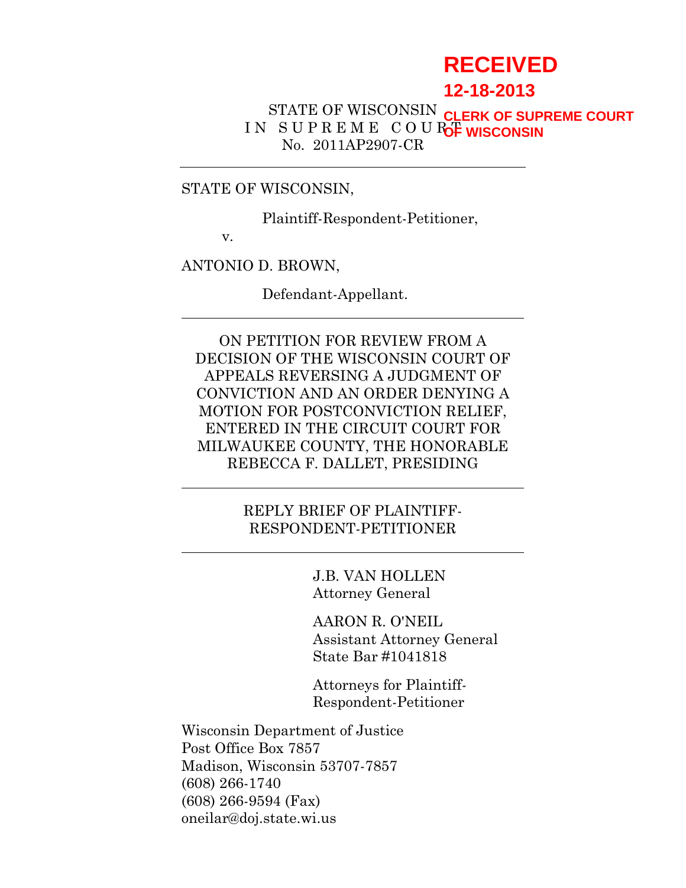# **RECEIVED**

# **12-18-2013**

#### STATE OF WISCONSIN IN SUPREME COURC<sub>F</sub> WISCONSIN No. 2011AP2907-CR **CLERK OF SUPREME COURT**

#### STATE OF WISCONSIN,

Plaintiff-Respondent-Petitioner,

v.

ANTONIO D. BROWN,

Defendant-Appellant.

ON PETITION FOR REVIEW FROM A DECISION OF THE WISCONSIN COURT OF APPEALS REVERSING A JUDGMENT OF CONVICTION AND AN ORDER DENYING A MOTION FOR POSTCONVICTION RELIEF, ENTERED IN THE CIRCUIT COURT FOR MILWAUKEE COUNTY, THE HONORABLE REBECCA F. DALLET, PRESIDING

> REPLY BRIEF OF PLAINTIFF-RESPONDENT-PETITIONER

> > J.B. VAN HOLLEN Attorney General

AARON R. O'NEIL Assistant Attorney General State Bar #1041818

Attorneys for Plaintiff-Respondent-Petitioner

Wisconsin Department of Justice Post Office Box 7857 Madison, Wisconsin 53707-7857 (608) 266-1740 (608) 266-9594 (Fax) oneilar@doj.state.wi.us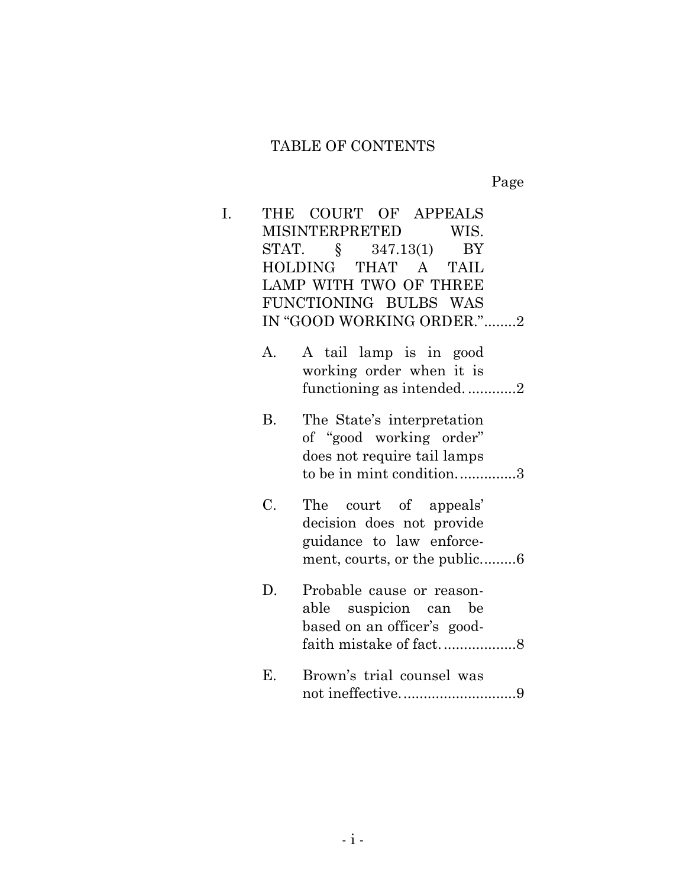Page

| I. |           | THE COURT OF APPEALS<br>MISINTERPRETED WIS.<br>STAT. § 347.13(1)<br>BY<br>HOLDING THAT A TAIL<br>LAMP WITH TWO OF THREE<br>FUNCTIONING BULBS WAS<br>IN "GOOD WORKING ORDER."2 |
|----|-----------|-------------------------------------------------------------------------------------------------------------------------------------------------------------------------------|
|    | A.        | A tail lamp is in good<br>working order when it is<br>functioning as intended2                                                                                                |
|    | <b>B.</b> | The State's interpretation<br>of "good working order"<br>does not require tail lamps<br>to be in mint condition3                                                              |
|    | C.        | The court of appeals'<br>decision does not provide<br>guidance to law enforce-<br>ment, courts, or the public6                                                                |
|    | D.        | Probable cause or reason-<br>able suspicion can be<br>based on an officer's good-                                                                                             |
|    | Ε.        | Brown's trial counsel was<br>not ineffective9                                                                                                                                 |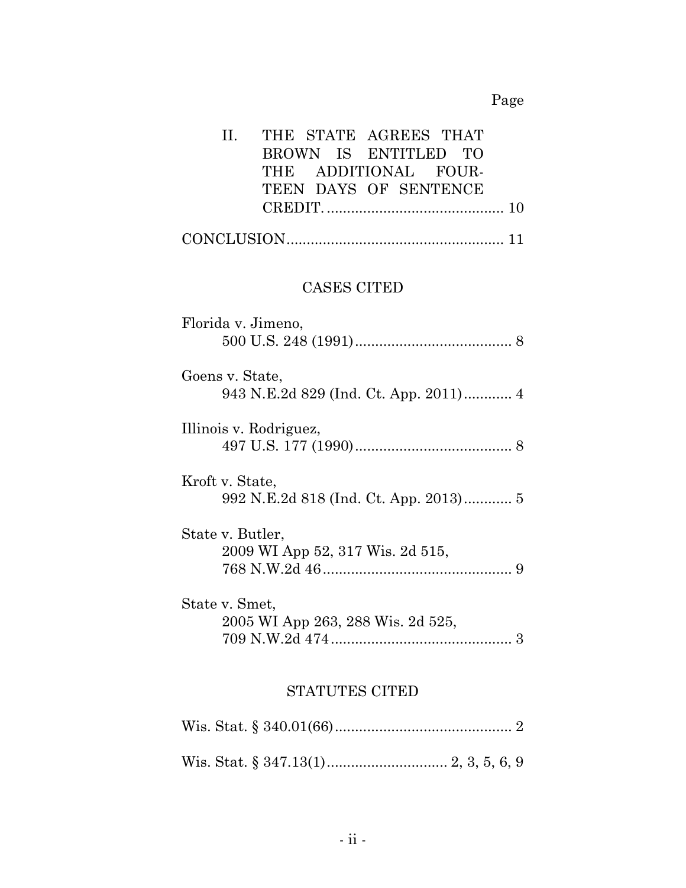# Page

| THE STATE AGREES THAT<br>II.<br>BROWN IS ENTITLED TO<br>THE ADDITIONAL FOUR-<br>TEEN DAYS OF SENTENCE |
|-------------------------------------------------------------------------------------------------------|
|                                                                                                       |
| <b>CASES CITED</b>                                                                                    |
| Florida v. Jimeno,                                                                                    |
| Goens v. State,<br>943 N.E.2d 829 (Ind. Ct. App. 2011) 4                                              |
| Illinois v. Rodriguez,                                                                                |
| Kroft v. State,<br>992 N.E.2d 818 (Ind. Ct. App. 2013) 5                                              |
| State v. Butler,<br>2009 WI App 52, 317 Wis. 2d 515,                                                  |
| State v. Smet,<br>2005 WI App 263, 288 Wis. 2d 525,                                                   |
| <b>STATUTES CITED</b>                                                                                 |

Wis. Stat. § 340.01(66)............................................ 2

Wis. Stat. § 347.13(1).............................. 2, 3, 5, 6, 9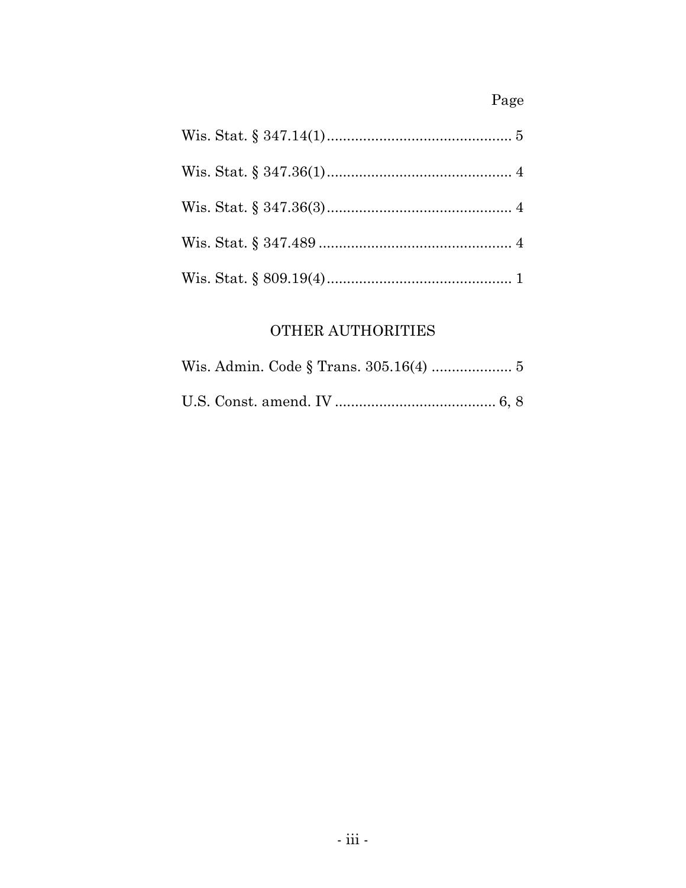# Page

# OTHER AUTHORITIES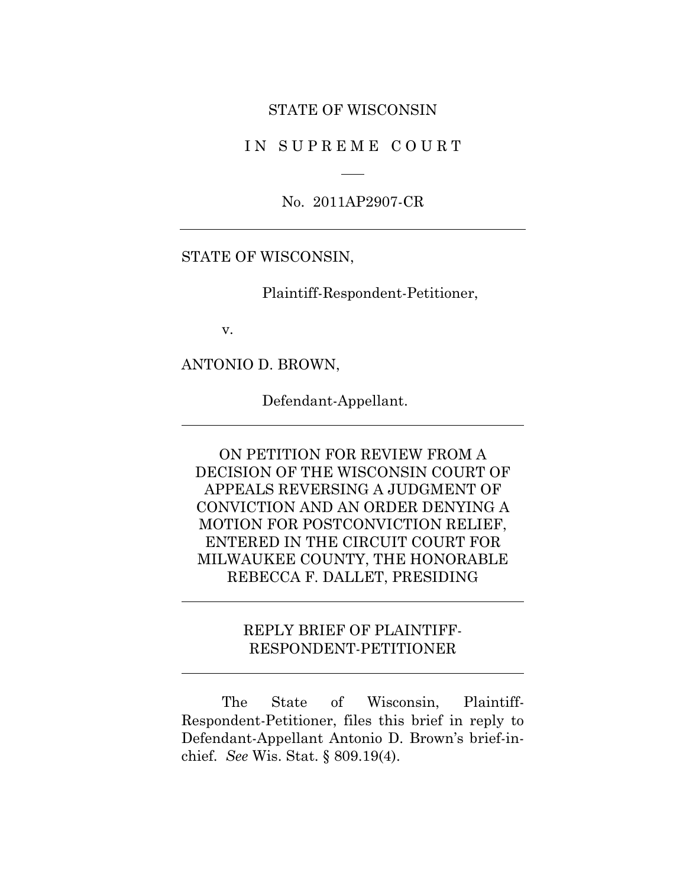#### STATE OF WISCONSIN

IN SUPREME COURT

No. 2011AP2907-CR

#### STATE OF WISCONSIN,

Plaintiff-Respondent-Petitioner,

v.

ANTONIO D. BROWN,

Defendant-Appellant.

ON PETITION FOR REVIEW FROM A DECISION OF THE WISCONSIN COURT OF APPEALS REVERSING A JUDGMENT OF CONVICTION AND AN ORDER DENYING A MOTION FOR POSTCONVICTION RELIEF, ENTERED IN THE CIRCUIT COURT FOR MILWAUKEE COUNTY, THE HONORABLE REBECCA F. DALLET, PRESIDING

# REPLY BRIEF OF PLAINTIFF-RESPONDENT-PETITIONER

The State of Wisconsin, Plaintiff-Respondent-Petitioner, files this brief in reply to Defendant-Appellant Antonio D. Brown's brief-inchief. *See* Wis. Stat. § 809.19(4).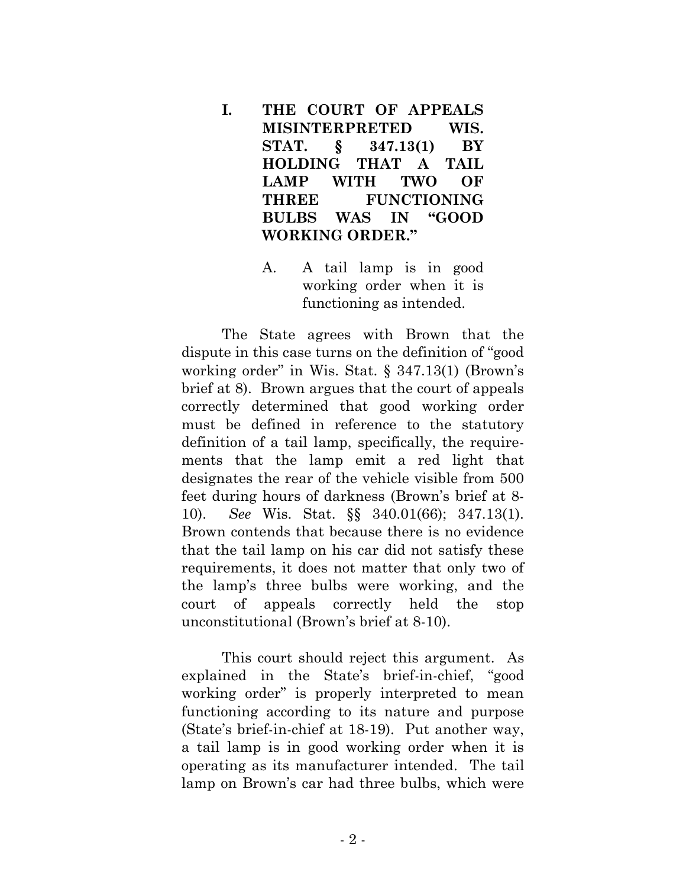- **I. THE COURT OF APPEALS MISINTERPRETED WIS. STAT. § 347.13(1) BY HOLDING THAT A TAIL LAMP WITH TWO OF THREE FUNCTIONING BULBS WAS IN "GOOD WORKING ORDER."**
	- A. A tail lamp is in good working order when it is functioning as intended.

The State agrees with Brown that the dispute in this case turns on the definition of "good working order" in Wis. Stat. § 347.13(1) (Brown's brief at 8). Brown argues that the court of appeals correctly determined that good working order must be defined in reference to the statutory definition of a tail lamp, specifically, the requirements that the lamp emit a red light that designates the rear of the vehicle visible from 500 feet during hours of darkness (Brown's brief at 8- 10). *See* Wis. Stat. §§ 340.01(66); 347.13(1). Brown contends that because there is no evidence that the tail lamp on his car did not satisfy these requirements, it does not matter that only two of the lamp's three bulbs were working, and the court of appeals correctly held the stop unconstitutional (Brown's brief at 8-10).

This court should reject this argument. As explained in the State's brief-in-chief, "good working order" is properly interpreted to mean functioning according to its nature and purpose (State's brief-in-chief at 18-19). Put another way, a tail lamp is in good working order when it is operating as its manufacturer intended. The tail lamp on Brown's car had three bulbs, which were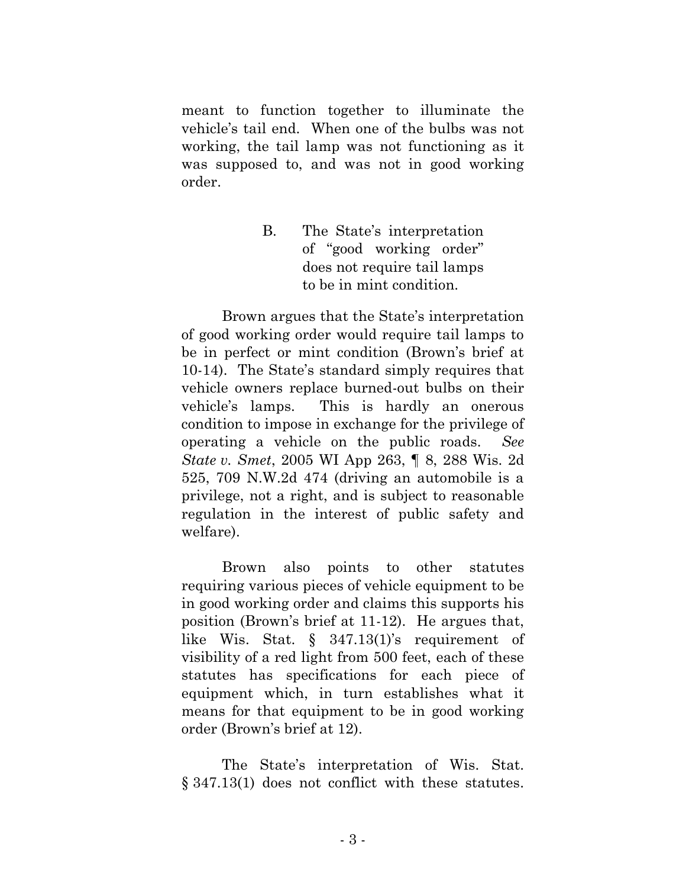meant to function together to illuminate the vehicle's tail end. When one of the bulbs was not working, the tail lamp was not functioning as it was supposed to, and was not in good working order.

> B. The State's interpretation of "good working order" does not require tail lamps to be in mint condition.

Brown argues that the State's interpretation of good working order would require tail lamps to be in perfect or mint condition (Brown's brief at 10-14). The State's standard simply requires that vehicle owners replace burned-out bulbs on their vehicle's lamps. This is hardly an onerous condition to impose in exchange for the privilege of operating a vehicle on the public roads. *See State v. Smet*, 2005 WI App 263, ¶ 8, 288 Wis. 2d 525, 709 N.W.2d 474 (driving an automobile is a privilege, not a right, and is subject to reasonable regulation in the interest of public safety and welfare).

Brown also points to other statutes requiring various pieces of vehicle equipment to be in good working order and claims this supports his position (Brown's brief at 11-12). He argues that, like Wis. Stat. § 347.13(1)'s requirement of visibility of a red light from 500 feet, each of these statutes has specifications for each piece of equipment which, in turn establishes what it means for that equipment to be in good working order (Brown's brief at 12).

The State's interpretation of Wis. Stat. § 347.13(1) does not conflict with these statutes.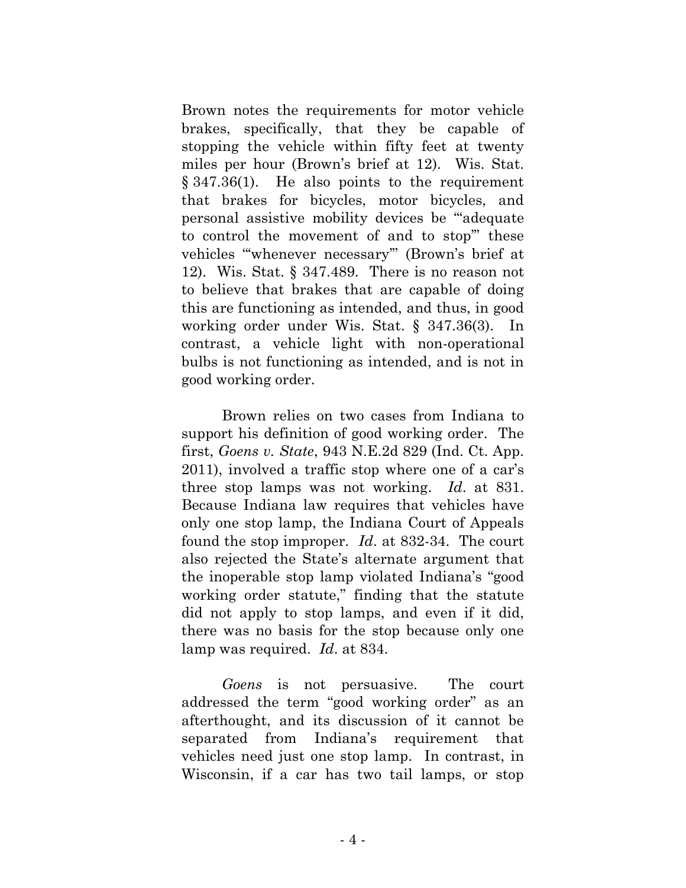Brown notes the requirements for motor vehicle brakes, specifically, that they be capable of stopping the vehicle within fifty feet at twenty miles per hour (Brown's brief at 12). Wis. Stat. § 347.36(1). He also points to the requirement that brakes for bicycles, motor bicycles, and personal assistive mobility devices be "'adequate to control the movement of and to stop'" these vehicles "'whenever necessary'" (Brown's brief at 12). Wis. Stat. § 347.489. There is no reason not to believe that brakes that are capable of doing this are functioning as intended, and thus, in good working order under Wis. Stat. § 347.36(3). In contrast, a vehicle light with non-operational bulbs is not functioning as intended, and is not in good working order.

Brown relies on two cases from Indiana to support his definition of good working order. The first, *Goens v. State*, 943 N.E.2d 829 (Ind. Ct. App. 2011), involved a traffic stop where one of a car's three stop lamps was not working. *Id*. at 831. Because Indiana law requires that vehicles have only one stop lamp, the Indiana Court of Appeals found the stop improper. *Id*. at 832-34. The court also rejected the State's alternate argument that the inoperable stop lamp violated Indiana's "good working order statute," finding that the statute did not apply to stop lamps, and even if it did, there was no basis for the stop because only one lamp was required. *Id*. at 834.

*Goens* is not persuasive. The court addressed the term "good working order" as an afterthought, and its discussion of it cannot be separated from Indiana's requirement that vehicles need just one stop lamp. In contrast, in Wisconsin, if a car has two tail lamps, or stop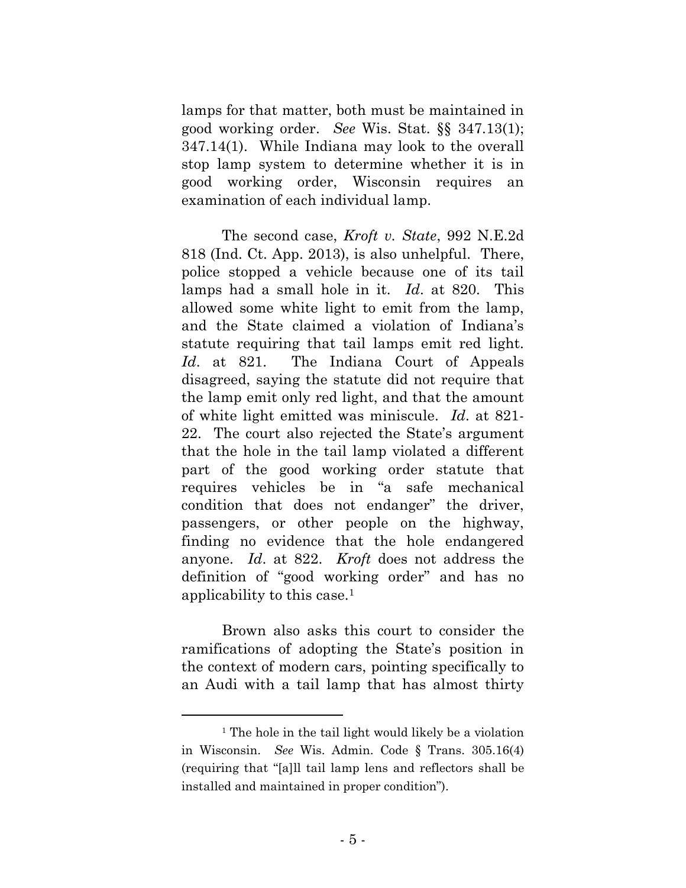lamps for that matter, both must be maintained in good working order. *See* Wis. Stat. §§ 347.13(1); 347.14(1). While Indiana may look to the overall stop lamp system to determine whether it is in good working order, Wisconsin requires an examination of each individual lamp.

The second case, *Kroft v. State*, 992 N.E.2d 818 (Ind. Ct. App. 2013), is also unhelpful. There, police stopped a vehicle because one of its tail lamps had a small hole in it. *Id*. at 820. This allowed some white light to emit from the lamp, and the State claimed a violation of Indiana's statute requiring that tail lamps emit red light. *Id*. at 821. The Indiana Court of Appeals disagreed, saying the statute did not require that the lamp emit only red light, and that the amount of white light emitted was miniscule. *Id*. at 821- 22. The court also rejected the State's argument that the hole in the tail lamp violated a different part of the good working order statute that requires vehicles be in "a safe mechanical condition that does not endanger" the driver, passengers, or other people on the highway, finding no evidence that the hole endangered anyone. *Id*. at 822. *Kroft* does not address the definition of "good working order" and has no applicability to this case.<sup>1</sup>

Brown also asks this court to consider the ramifications of adopting the State's position in the context of modern cars, pointing specifically to an Audi with a tail lamp that has almost thirty

<sup>&</sup>lt;sup>1</sup> The hole in the tail light would likely be a violation in Wisconsin. *See* Wis. Admin. Code § Trans. 305.16(4) (requiring that "[a]ll tail lamp lens and reflectors shall be installed and maintained in proper condition").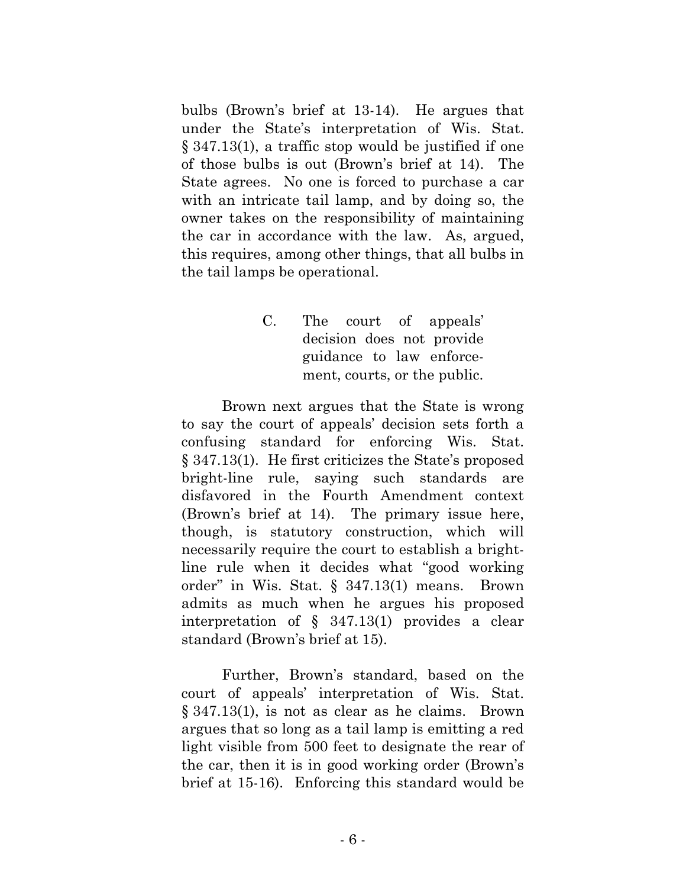bulbs (Brown's brief at 13-14). He argues that under the State's interpretation of Wis. Stat. § 347.13(1), a traffic stop would be justified if one of those bulbs is out (Brown's brief at 14). The State agrees. No one is forced to purchase a car with an intricate tail lamp, and by doing so, the owner takes on the responsibility of maintaining the car in accordance with the law. As, argued, this requires, among other things, that all bulbs in the tail lamps be operational.

> C. The court of appeals' decision does not provide guidance to law enforcement, courts, or the public.

Brown next argues that the State is wrong to say the court of appeals' decision sets forth a confusing standard for enforcing Wis. Stat. § 347.13(1). He first criticizes the State's proposed bright-line rule, saying such standards are disfavored in the Fourth Amendment context (Brown's brief at 14). The primary issue here, though, is statutory construction, which will necessarily require the court to establish a brightline rule when it decides what "good working order" in Wis. Stat. § 347.13(1) means. Brown admits as much when he argues his proposed interpretation of § 347.13(1) provides a clear standard (Brown's brief at 15).

Further, Brown's standard, based on the court of appeals' interpretation of Wis. Stat. § 347.13(1), is not as clear as he claims. Brown argues that so long as a tail lamp is emitting a red light visible from 500 feet to designate the rear of the car, then it is in good working order (Brown's brief at 15-16). Enforcing this standard would be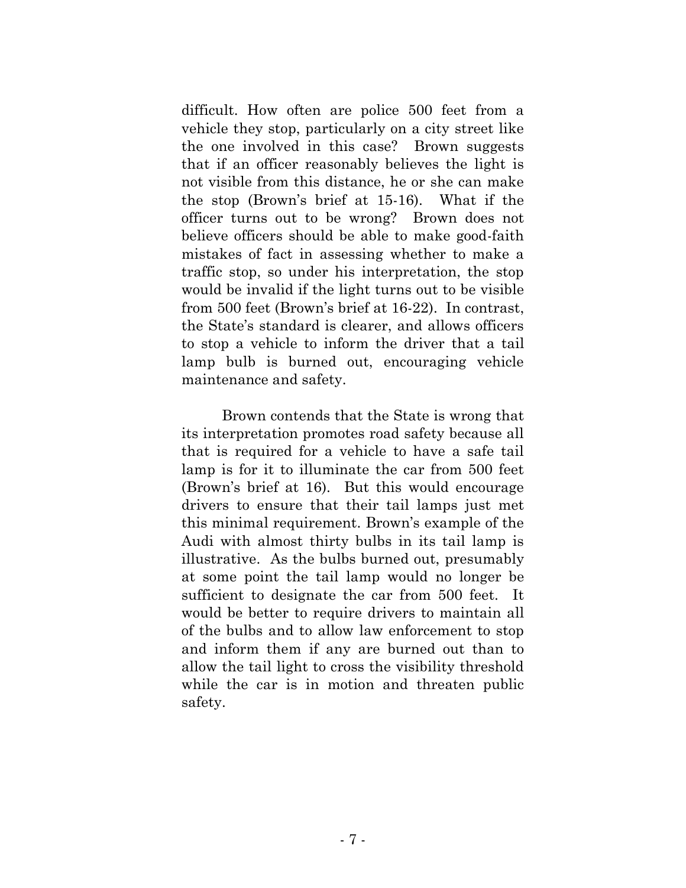difficult. How often are police 500 feet from a vehicle they stop, particularly on a city street like the one involved in this case? Brown suggests that if an officer reasonably believes the light is not visible from this distance, he or she can make the stop (Brown's brief at 15-16). What if the officer turns out to be wrong? Brown does not believe officers should be able to make good-faith mistakes of fact in assessing whether to make a traffic stop, so under his interpretation, the stop would be invalid if the light turns out to be visible from 500 feet (Brown's brief at 16-22). In contrast, the State's standard is clearer, and allows officers to stop a vehicle to inform the driver that a tail lamp bulb is burned out, encouraging vehicle maintenance and safety.

Brown contends that the State is wrong that its interpretation promotes road safety because all that is required for a vehicle to have a safe tail lamp is for it to illuminate the car from 500 feet (Brown's brief at 16). But this would encourage drivers to ensure that their tail lamps just met this minimal requirement. Brown's example of the Audi with almost thirty bulbs in its tail lamp is illustrative. As the bulbs burned out, presumably at some point the tail lamp would no longer be sufficient to designate the car from 500 feet. It would be better to require drivers to maintain all of the bulbs and to allow law enforcement to stop and inform them if any are burned out than to allow the tail light to cross the visibility threshold while the car is in motion and threaten public safety.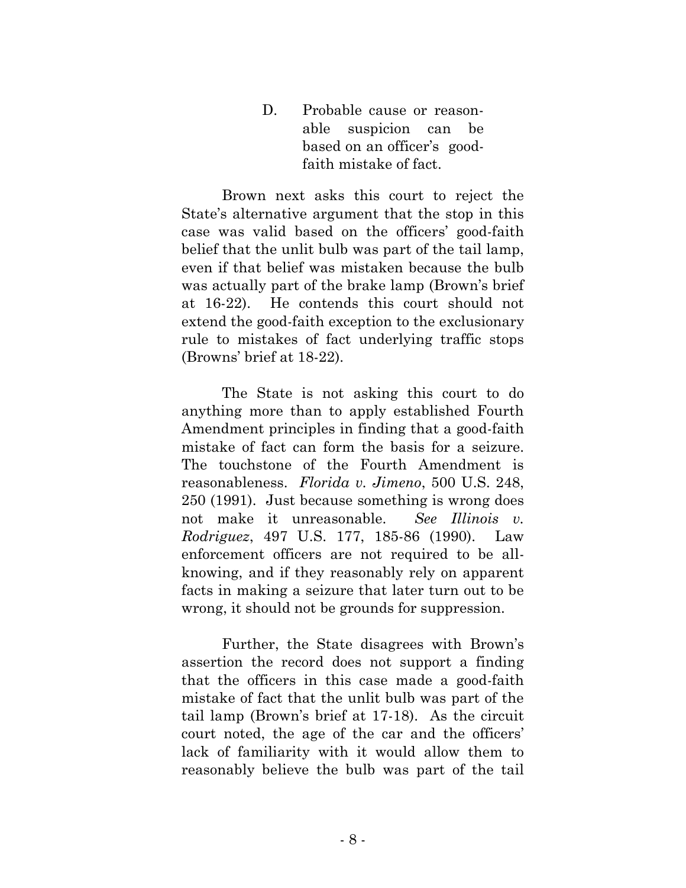D. Probable cause or reasonable suspicion can be based on an officer's goodfaith mistake of fact.

Brown next asks this court to reject the State's alternative argument that the stop in this case was valid based on the officers' good-faith belief that the unlit bulb was part of the tail lamp, even if that belief was mistaken because the bulb was actually part of the brake lamp (Brown's brief at 16-22). He contends this court should not extend the good-faith exception to the exclusionary rule to mistakes of fact underlying traffic stops (Browns' brief at 18-22).

The State is not asking this court to do anything more than to apply established Fourth Amendment principles in finding that a good-faith mistake of fact can form the basis for a seizure. The touchstone of the Fourth Amendment is reasonableness. *Florida v. Jimeno*, 500 U.S. 248, 250 (1991). Just because something is wrong does not make it unreasonable. *See Illinois v. Rodriguez*, 497 U.S. 177, 185-86 (1990). Law enforcement officers are not required to be allknowing, and if they reasonably rely on apparent facts in making a seizure that later turn out to be wrong, it should not be grounds for suppression.

Further, the State disagrees with Brown's assertion the record does not support a finding that the officers in this case made a good-faith mistake of fact that the unlit bulb was part of the tail lamp (Brown's brief at 17-18). As the circuit court noted, the age of the car and the officers' lack of familiarity with it would allow them to reasonably believe the bulb was part of the tail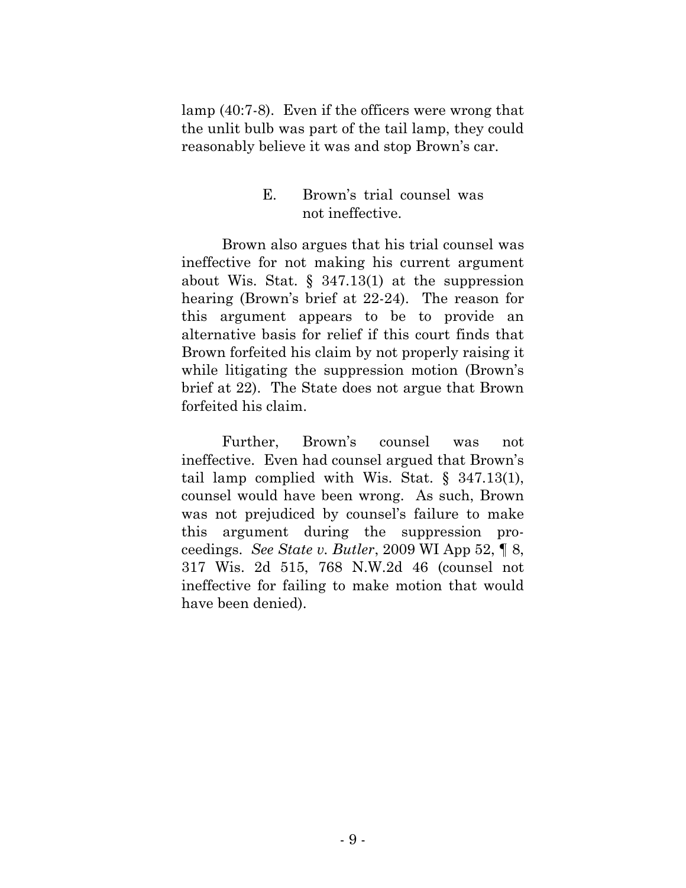lamp (40:7-8). Even if the officers were wrong that the unlit bulb was part of the tail lamp, they could reasonably believe it was and stop Brown's car.

### E. Brown's trial counsel was not ineffective.

Brown also argues that his trial counsel was ineffective for not making his current argument about Wis. Stat.  $\S$  347.13(1) at the suppression hearing (Brown's brief at 22-24). The reason for this argument appears to be to provide an alternative basis for relief if this court finds that Brown forfeited his claim by not properly raising it while litigating the suppression motion (Brown's brief at 22). The State does not argue that Brown forfeited his claim.

Further, Brown's counsel was not ineffective. Even had counsel argued that Brown's tail lamp complied with Wis. Stat. § 347.13(1), counsel would have been wrong. As such, Brown was not prejudiced by counsel's failure to make this argument during the suppression proceedings. *See State v. Butler*, 2009 WI App 52, ¶ 8, 317 Wis. 2d 515, 768 N.W.2d 46 (counsel not ineffective for failing to make motion that would have been denied).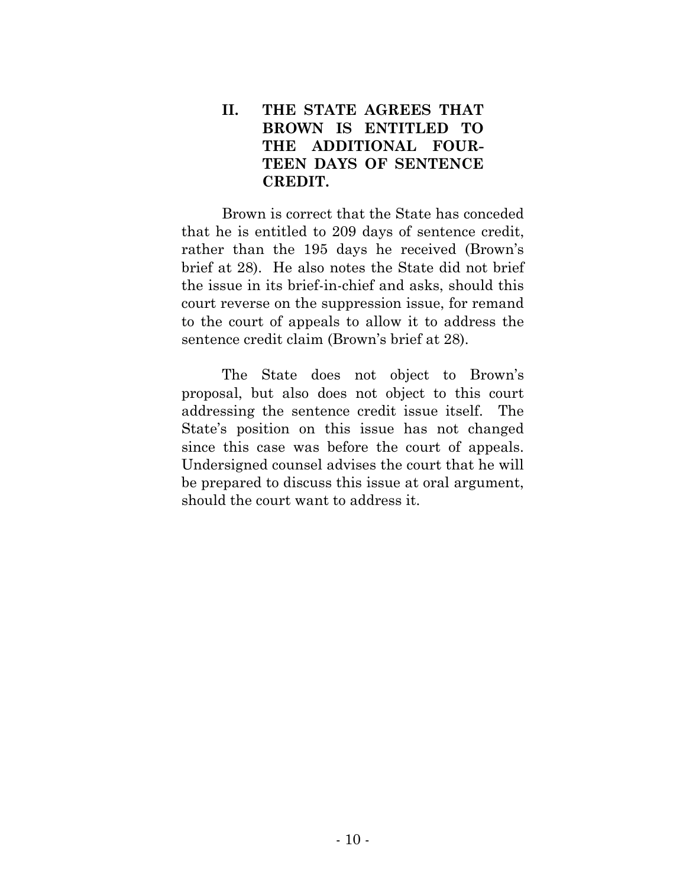# **II. THE STATE AGREES THAT BROWN IS ENTITLED TO THE ADDITIONAL FOUR-TEEN DAYS OF SENTENCE CREDIT.**

Brown is correct that the State has conceded that he is entitled to 209 days of sentence credit, rather than the 195 days he received (Brown's brief at 28). He also notes the State did not brief the issue in its brief-in-chief and asks, should this court reverse on the suppression issue, for remand to the court of appeals to allow it to address the sentence credit claim (Brown's brief at 28).

The State does not object to Brown's proposal, but also does not object to this court addressing the sentence credit issue itself. The State's position on this issue has not changed since this case was before the court of appeals. Undersigned counsel advises the court that he will be prepared to discuss this issue at oral argument, should the court want to address it.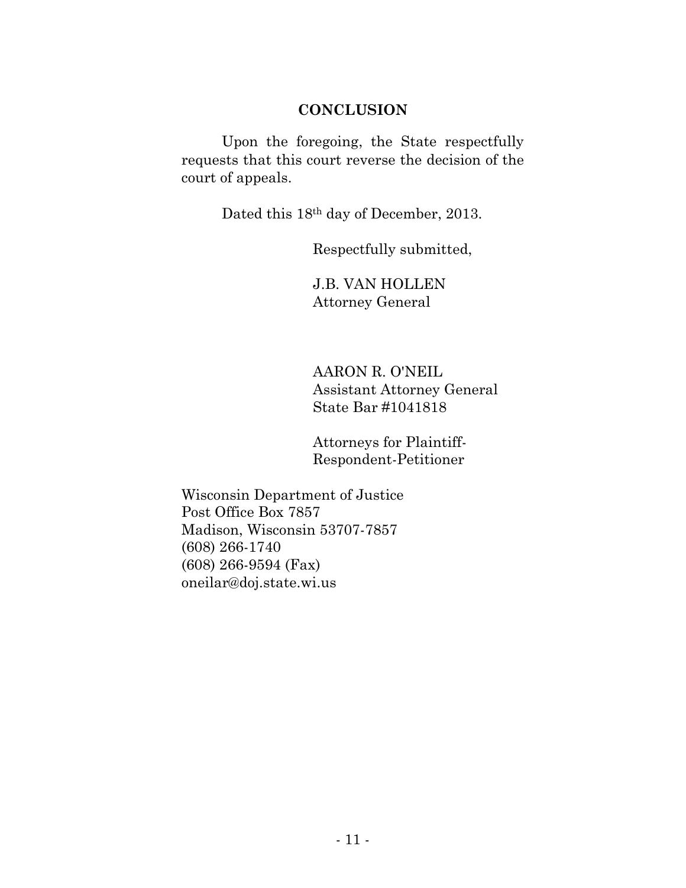### **CONCLUSION**

Upon the foregoing, the State respectfully requests that this court reverse the decision of the court of appeals.

Dated this 18th day of December, 2013.

Respectfully submitted,

J.B. VAN HOLLEN Attorney General

AARON R. O'NEIL Assistant Attorney General State Bar #1041818

Attorneys for Plaintiff-Respondent-Petitioner

Wisconsin Department of Justice Post Office Box 7857 Madison, Wisconsin 53707-7857 (608) 266-1740 (608) 266-9594 (Fax) oneilar@doj.state.wi.us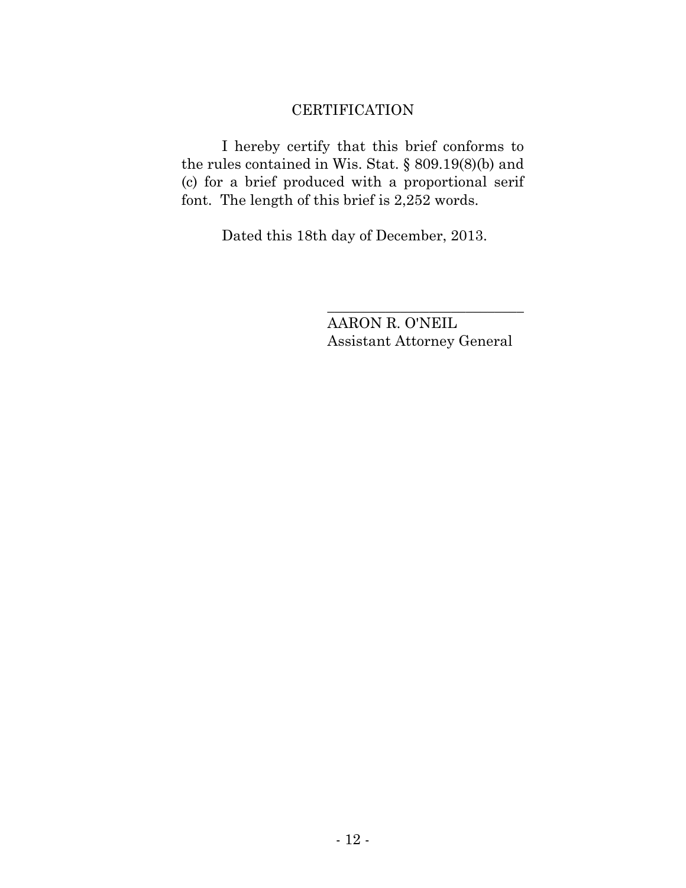# **CERTIFICATION**

I hereby certify that this brief conforms to the rules contained in Wis. Stat. § 809.19(8)(b) and (c) for a brief produced with a proportional serif font. The length of this brief is 2,252 words.

Dated this 18th day of December, 2013.

AARON R. O'NEIL Assistant Attorney General

\_\_\_\_\_\_\_\_\_\_\_\_\_\_\_\_\_\_\_\_\_\_\_\_\_\_\_